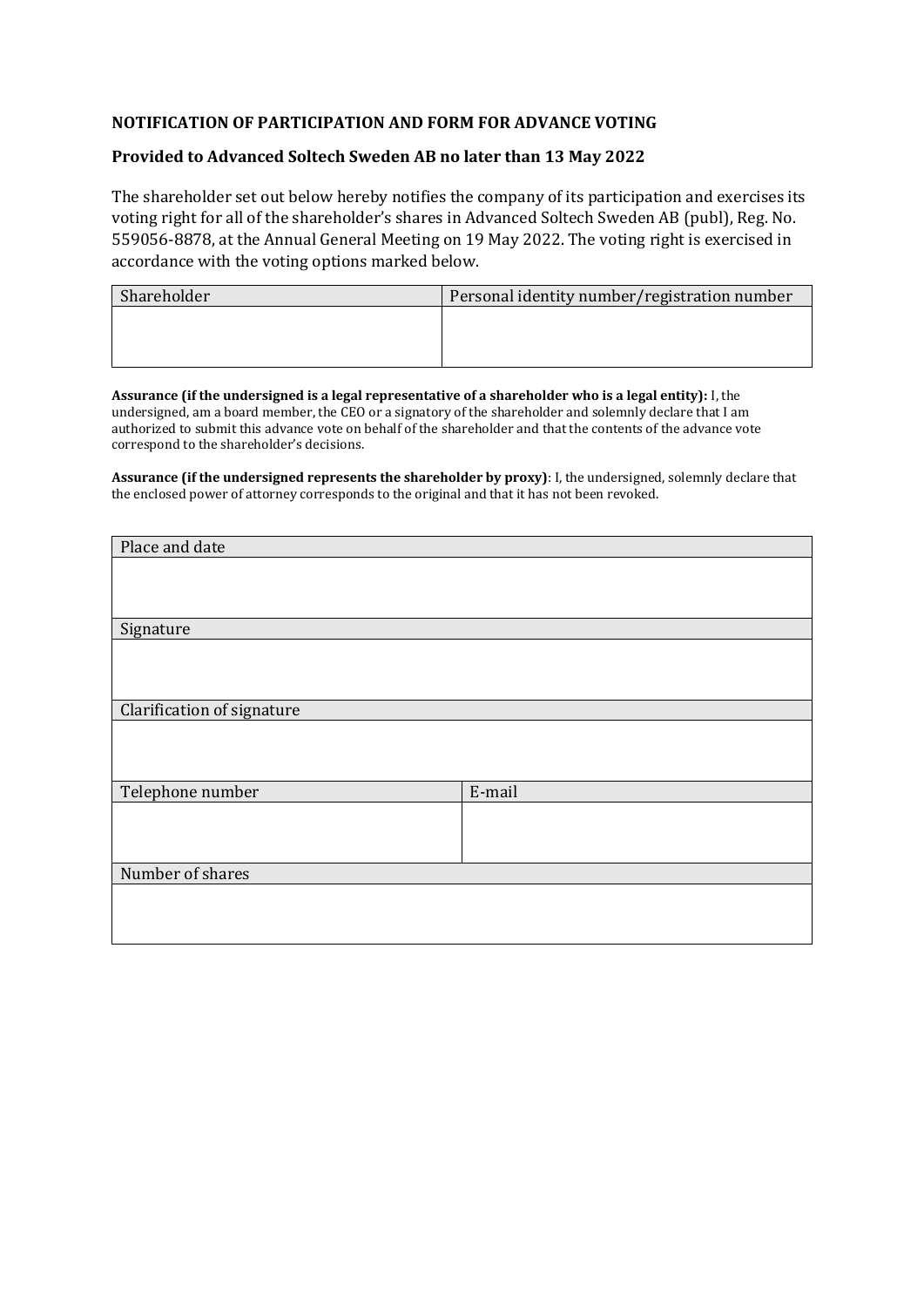## **NOTIFICATION OF PARTICIPATION AND FORM FOR ADVANCE VOTING**

## **Provided to Advanced Soltech Sweden AB no later than 13 May 2022**

The shareholder set out below hereby notifies the company of its participation and exercises its voting right for all of the shareholder's shares in Advanced Soltech Sweden AB (publ), Reg. No. 559056-8878, at the Annual General Meeting on 19 May 2022. The voting right is exercised in accordance with the voting options marked below.

| Shareholder | Personal identity number/registration number |
|-------------|----------------------------------------------|
|             |                                              |
|             |                                              |
|             |                                              |

**Assurance (if the undersigned is a legal representative of a shareholder who is a legal entity):** I, the undersigned, am a board member, the CEO or a signatory of the shareholder and solemnly declare that I am authorized to submit this advance vote on behalf of the shareholder and that the contents of the advance vote correspond to the shareholder's decisions.

**Assurance (if the undersigned represents the shareholder by proxy)**: I, the undersigned, solemnly declare that the enclosed power of attorney corresponds to the original and that it has not been revoked.

| Place and date             |        |
|----------------------------|--------|
|                            |        |
|                            |        |
|                            |        |
| Signature                  |        |
|                            |        |
|                            |        |
|                            |        |
| Clarification of signature |        |
|                            |        |
|                            |        |
|                            |        |
| Telephone number           | E-mail |
|                            |        |
|                            |        |
|                            |        |
| Number of shares           |        |
|                            |        |
|                            |        |
|                            |        |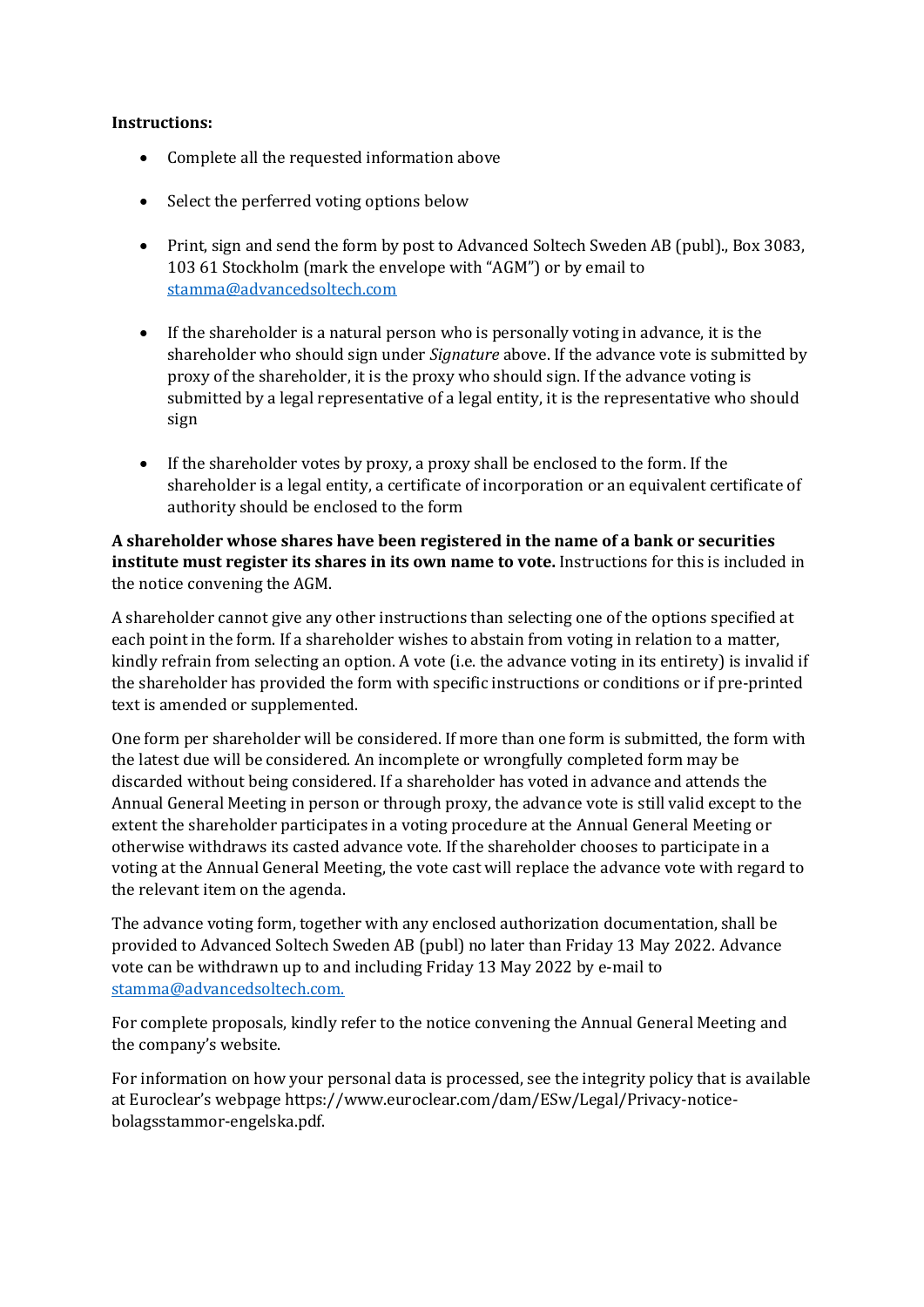## **Instructions:**

- Complete all the requested information above
- Select the perferred voting options below
- Print, sign and send the form by post to Advanced Soltech Sweden AB (publ)., Box 3083, 103 61 Stockholm (mark the envelope with "AGM") or by email to [stamma@advancedsoltech.com](mailto:stamma@advancedsoltech.com)
- If the shareholder is a natural person who is personally voting in advance, it is the shareholder who should sign under *Signature* above. If the advance vote is submitted by proxy of the shareholder, it is the proxy who should sign. If the advance voting is submitted by a legal representative of a legal entity, it is the representative who should sign
- If the shareholder votes by proxy, a proxy shall be enclosed to the form. If the shareholder is a legal entity, a certificate of incorporation or an equivalent certificate of authority should be enclosed to the form

**A shareholder whose shares have been registered in the name of a bank or securities institute must register its shares in its own name to vote.** Instructions for this is included in the notice convening the AGM.

A shareholder cannot give any other instructions than selecting one of the options specified at each point in the form. If a shareholder wishes to abstain from voting in relation to a matter, kindly refrain from selecting an option. A vote (i.e. the advance voting in its entirety) is invalid if the shareholder has provided the form with specific instructions or conditions or if pre-printed text is amended or supplemented.

One form per shareholder will be considered. If more than one form is submitted, the form with the latest due will be considered. An incomplete or wrongfully completed form may be discarded without being considered. If a shareholder has voted in advance and attends the Annual General Meeting in person or through proxy, the advance vote is still valid except to the extent the shareholder participates in a voting procedure at the Annual General Meeting or otherwise withdraws its casted advance vote. If the shareholder chooses to participate in a voting at the Annual General Meeting, the vote cast will replace the advance vote with regard to the relevant item on the agenda.

The advance voting form, together with any enclosed authorization documentation, shall be provided to Advanced Soltech Sweden AB (publ) no later than Friday 13 May 2022. Advance vote can be withdrawn up to and including Friday 13 May 2022 by e-mail to [stamma@advancedsoltech.com.](mailto:stamma@advancedsoltech.com)

For complete proposals, kindly refer to the notice convening the Annual General Meeting and the company's website.

For information on how your personal data is processed, see the integrity policy that is available at Euroclear's webpage https://www.euroclear.com/dam/ESw/Legal/Privacy-noticebolagsstammor-engelska.pdf.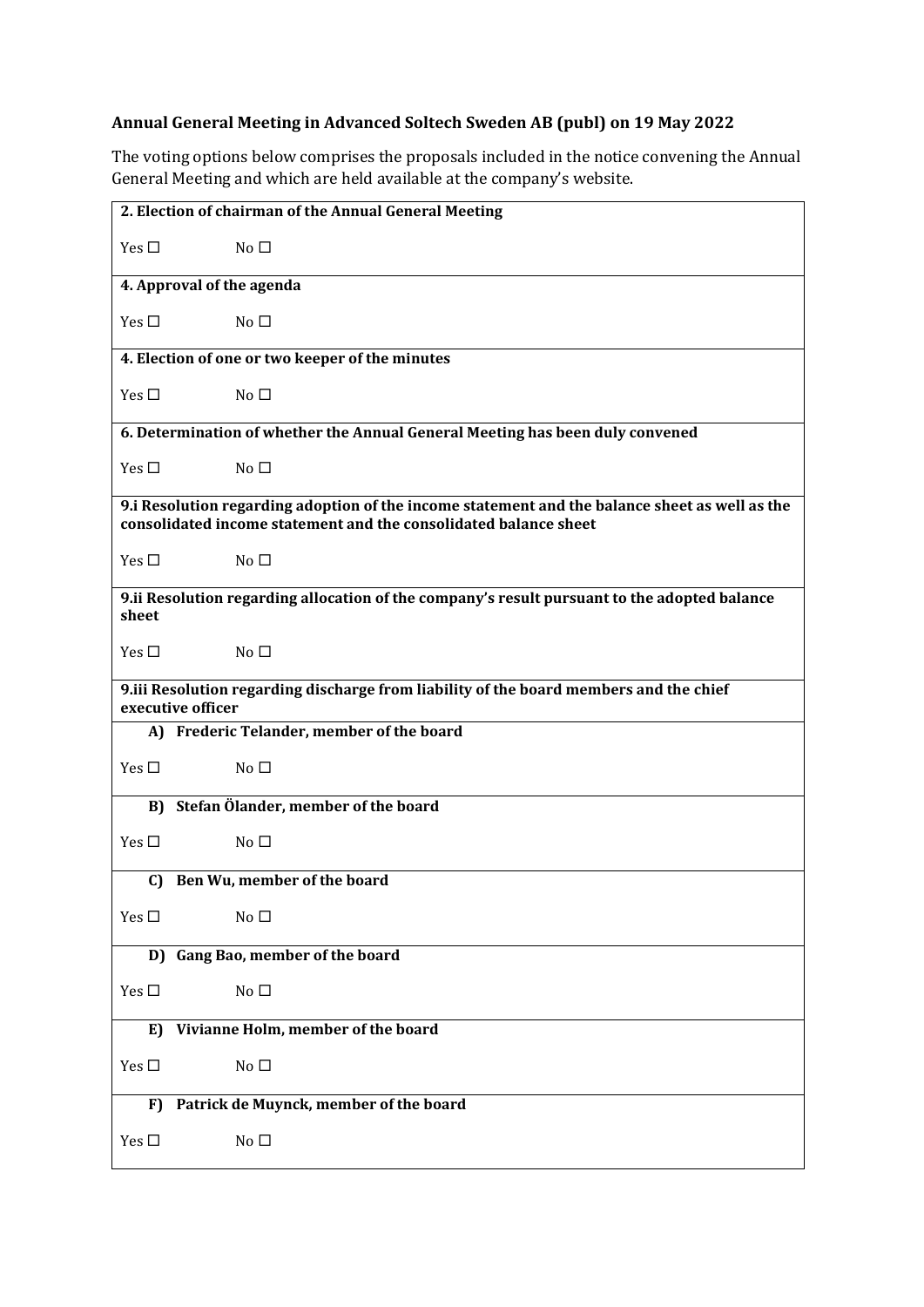## **Annual General Meeting in Advanced Soltech Sweden AB (publ) on 19 May 2022**

The voting options below comprises the proposals included in the notice convening the Annual General Meeting and which are held available at the company's website.

| 2. Election of chairman of the Annual General Meeting                                                                                                              |  |
|--------------------------------------------------------------------------------------------------------------------------------------------------------------------|--|
| Yes $\square$<br>No <sub>1</sub>                                                                                                                                   |  |
| 4. Approval of the agenda                                                                                                                                          |  |
| Yes $\square$<br>No <sub>1</sub>                                                                                                                                   |  |
| 4. Election of one or two keeper of the minutes                                                                                                                    |  |
| Yes $\square$<br>No <sub>1</sub>                                                                                                                                   |  |
| 6. Determination of whether the Annual General Meeting has been duly convened                                                                                      |  |
| Yes $\square$<br>No <sub>1</sub>                                                                                                                                   |  |
| 9.i Resolution regarding adoption of the income statement and the balance sheet as well as the<br>consolidated income statement and the consolidated balance sheet |  |
| Yes $\Box$<br>No <sub>1</sub>                                                                                                                                      |  |
| 9.ii Resolution regarding allocation of the company's result pursuant to the adopted balance<br>sheet                                                              |  |
| Yes $\Box$<br>No <sub>1</sub>                                                                                                                                      |  |
| 9.iii Resolution regarding discharge from liability of the board members and the chief<br>executive officer                                                        |  |
| A) Frederic Telander, member of the board                                                                                                                          |  |
| Yes $\square$<br>$No\square$                                                                                                                                       |  |
|                                                                                                                                                                    |  |
| B) Stefan Ölander, member of the board                                                                                                                             |  |
| Yes $\square$<br>No <sub>1</sub>                                                                                                                                   |  |
| C) Ben Wu, member of the board                                                                                                                                     |  |
| Yes $\square$<br>No <sub>1</sub>                                                                                                                                   |  |
| D) Gang Bao, member of the board                                                                                                                                   |  |
| Yes $\square$<br>No <sub>1</sub>                                                                                                                                   |  |
| Vivianne Holm, member of the board<br>E)                                                                                                                           |  |
| Yes $\square$<br>No <sub>1</sub>                                                                                                                                   |  |
| Patrick de Muynck, member of the board<br>F)                                                                                                                       |  |